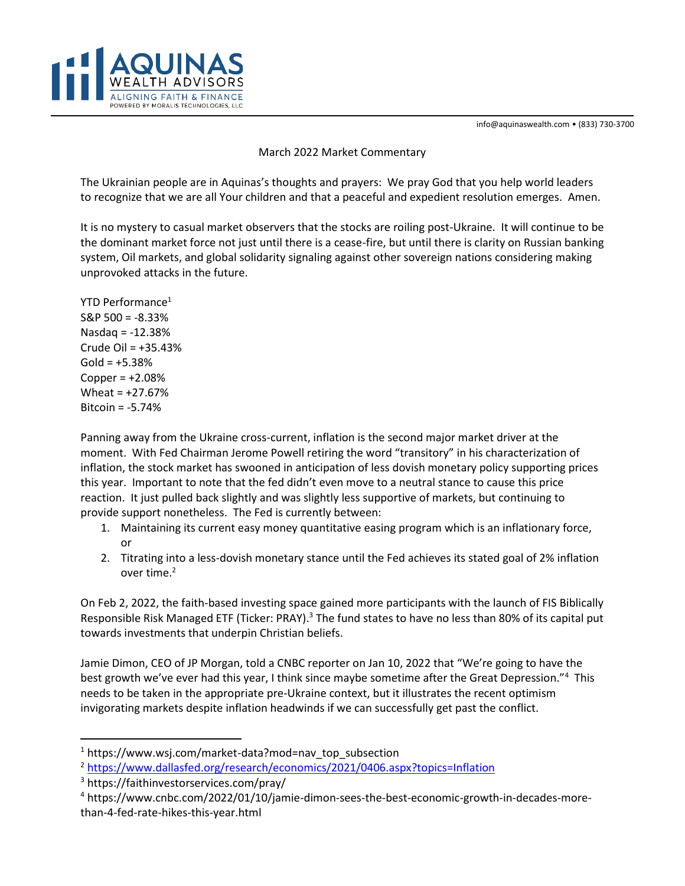info@aquinaswealth.com • (833) 730-3700



## March 2022 Market Commentary

The Ukrainian people are in Aquinas's thoughts and prayers: We pray God that you help world leaders to recognize that we are all Your children and that a peaceful and expedient resolution emerges. Amen.

It is no mystery to casual market observers that the stocks are roiling post-Ukraine. It will continue to be the dominant market force not just until there is a cease-fire, but until there is clarity on Russian banking system, Oil markets, and global solidarity signaling against other sovereign nations considering making unprovoked attacks in the future.

YTD Performance<sup>1</sup> S&P 500 = -8.33% Nasdaq = -12.38% Crude Oil = +35.43%  $Gold = +5.38%$ Copper  $= +2.08%$ Wheat = +27.67% Bitcoin = -5.74%

Panning away from the Ukraine cross-current, inflation is the second major market driver at the moment. With Fed Chairman Jerome Powell retiring the word "transitory" in his characterization of inflation, the stock market has swooned in anticipation of less dovish monetary policy supporting prices this year. Important to note that the fed didn't even move to a neutral stance to cause this price reaction. It just pulled back slightly and was slightly less supportive of markets, but continuing to provide support nonetheless. The Fed is currently between:

- 1. Maintaining its current easy money quantitative easing program which is an inflationary force, or
- 2. Titrating into a less-dovish monetary stance until the Fed achieves its stated goal of 2% inflation over time.<sup>2</sup>

On Feb 2, 2022, the faith-based investing space gained more participants with the launch of FIS Biblically Responsible Risk Managed ETF (Ticker: PRAY).<sup>3</sup> The fund states to have no less than 80% of its capital put towards investments that underpin Christian beliefs.

Jamie Dimon, CEO of JP Morgan, told a CNBC reporter on Jan 10, 2022 that "We're going to have the best growth we've ever had this year, I think since maybe sometime after the Great Depression."<sup>4</sup> This needs to be taken in the appropriate pre-Ukraine context, but it illustrates the recent optimism invigorating markets despite inflation headwinds if we can successfully get past the conflict.

 $1$  https://www.wsj.com/market-data?mod=nav\_top\_subsection

<sup>2</sup> https://www.dallasfed.org/research/economics/2021/0406.aspx?topics=Inflation

<sup>3</sup> https://faithinvestorservices.com/pray/

<sup>4</sup> https://www.cnbc.com/2022/01/10/jamie-dimon-sees-the-best-economic-growth-in-decades-morethan-4-fed-rate-hikes-this-year.html